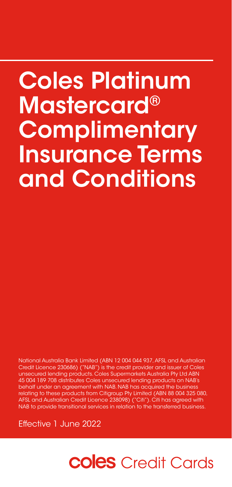# Coles Platinum Mastercard<sup>®</sup> **Complimentary** Insurance Terms and Conditions

National Australia Bank Limited (ABN 12 004 044 937, AFSL and Australian Credit Licence 230686) ("NAB") is the credit provider and issuer of Coles unsecured lending products. Coles Supermarkets Australia Pty Ltd ABN 45 004 189 708 distributes Coles unsecured lending products on NAB's behalf under an agreement with NAB. NAB has acquired the business relating to these products from Citigroup Pty Limited (ABN 88 004 325 080, AFSL and Australian Credit Licence 238098) ("Citi"). Citi has agreed with NAB to provide transitional services in relation to the transferred business.

Effective 1 June 2022

# **coles** Credit Cards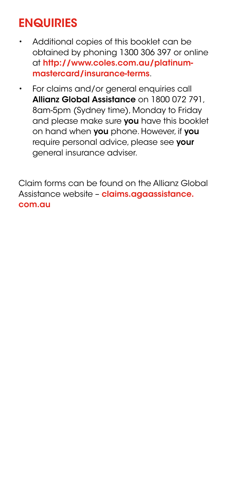# **ENQUIRIES**

- Additional copies of this booklet can be obtained by phoning 1300 306 397 or online at [http://www.coles.com.au/platinum](http://www.coles.com.au/platinum-mastercard/insurance-terms)[mastercard/insurance-terms](http://www.coles.com.au/platinum-mastercard/insurance-terms).
- For claims and/or general enquiries call Allianz Global Assistance on 1800 072 791, 8am-5pm (Sydney time), Monday to Friday and please make sure you have this booklet on hand when you phone. However, if you require personal advice, please see your general insurance adviser.

Claim forms can be found on the Allianz Global Assistance website - [claims.agaassistance.](http://claims.agaassistance.com.au) [com.au](http://claims.agaassistance.com.au)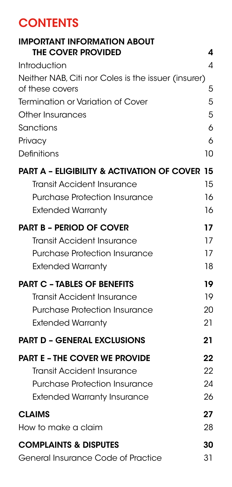# **CONTENTS**

| <b>IMPORTANT INFORMATION ABOUT</b><br><b>THE COVER PROVIDED</b>        | 4  |
|------------------------------------------------------------------------|----|
| Introduction                                                           | 4  |
| Neither NAB, Citi nor Coles is the issuer (insurer)<br>of these covers | 5  |
| Termination or Variation of Cover                                      | 5  |
| Other Insurances                                                       | 5  |
| Sanctions                                                              | 6  |
| Privacy                                                                | 6  |
| Definitions                                                            | 10 |
| <b>PART A - ELIGIBILITY &amp; ACTIVATION OF COVER 15</b>               |    |
| Transit Accident Insurance                                             | 15 |
| <b>Purchase Protection Insurance</b>                                   | 16 |
| <b>Extended Warranty</b>                                               | 16 |
| <b>PART B - PERIOD OF COVER</b>                                        | 17 |
| <b>Transit Accident Insurance</b>                                      | 17 |
| <b>Purchase Protection Insurance</b>                                   | 17 |
| <b>Extended Warranty</b>                                               | 18 |
| <b>PART C - TABLES OF BENEFITS</b>                                     | 19 |
| <b>Transit Accident Insurance</b>                                      | 19 |
| <b>Purchase Protection Insurance</b>                                   | 20 |
| <b>Extended Warranty</b>                                               | 21 |
| <b>PART D - GENERAL EXCLUSIONS</b>                                     | 21 |
| <b>PART E - THE COVER WE PROVIDE</b>                                   | 22 |
| <b>Transit Accident Insurance</b>                                      | 22 |
| <b>Purchase Protection Insurance</b>                                   | 24 |
| <b>Extended Warranty Insurance</b>                                     | 26 |
| <b>CLAIMS</b>                                                          | 27 |
| How to make a claim                                                    | 28 |
| <b>COMPLAINTS &amp; DISPUTES</b>                                       | 30 |
| <b>General Insurance Code of Practice</b>                              | 31 |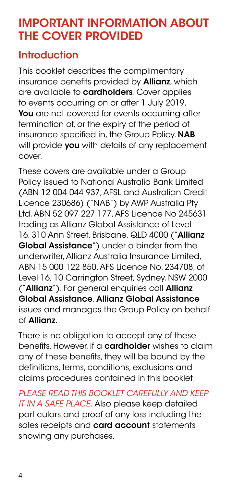# IMPORTANT INFORMATION ABOUT THE COVER PROVIDED

# Introduction

This booklet describes the complimentary insurance benefits provided by **Allianz**, which are available to **cardholders**. Cover applies to events occurring on or after 1 July 2019. You are not covered for events occurring after termination of, or the expiry of the period of insurance specified in, the Group Policy. NAB will provide **vou** with details of any replacement cover.

These covers are available under a Group Policy issued to National Australia Bank Limited (ABN 12 004 044 937, AFSL and Australian Credit Licence 230686) ("NAB") by AWP Australia Pty Ltd, ABN 52 097 227 177, AFS Licence No 245631 trading as Allianz Global Assistance of Level 16, 310 Ann Street, Brisbane, QLD 4000 ("Allianz Global Assistance") under a binder from the underwriter, Allianz Australia Insurance Limited, ABN 15 000 122 850, AFS Licence No. 234708, of Level 16, 10 Carrington Street, Sydney, NSW 2000 ("Allianz"). For general enquiries call Allianz Global Assistance. Allianz Global Assistance issues and manages the Group Policy on behalf of Allianz.

There is no obligation to accept any of these benefits. However, if a **cardholder** wishes to claim any of these benefits, they will be bound by the definitions, terms, conditions, exclusions and claims procedures contained in this booklet.

*PLEASE READ THIS BOOKLET CAREFULLY AND KEEP IT IN A SAFE PLACE.* Also please keep detailed particulars and proof of any loss including the sales receipts and **card account** statements showing any purchases.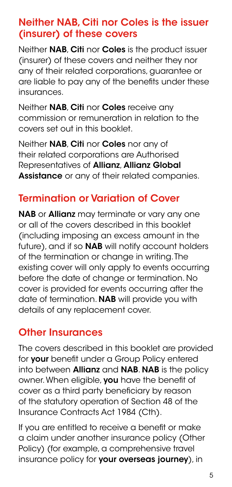### Neither NAB, Citi nor Coles is the issuer (insurer) of these covers

Neither NAB, Citi nor Coles is the product issuer (insurer) of these covers and neither they nor any of their related corporations, guarantee or are liable to pay any of the benefits under these insurances.

Neither NAB, Citi nor Coles receive any commission or remuneration in relation to the covers set out in this booklet.

Neither NAB, Citi nor Coles nor any of their related corporations are Authorised Representatives of Allianz, Allianz Global Assistance or any of their related companies.

# Termination or Variation of Cover

NAB or Allianz may terminate or vary any one or all of the covers described in this booklet (including imposing an excess amount in the future), and if so **NAB** will notify account holders of the termination or change in writing. The existing cover will only apply to events occurring before the date of change or termination. No cover is provided for events occurring after the date of termination. **NAB** will provide you with details of any replacement cover.

## Other Insurances

The covers described in this booklet are provided for your benefit under a Group Policy entered into between **Allianz** and **NAB. NAB** is the policy owner. When eligible, you have the benefit of cover as a third party beneficiary by reason of the statutory operation of Section 48 of the Insurance Contracts Act 1984 (Cth).

If you are entitled to receive a benefit or make a claim under another insurance policy (Other Policy) (for example, a comprehensive travel insurance policy for your overseas journey), in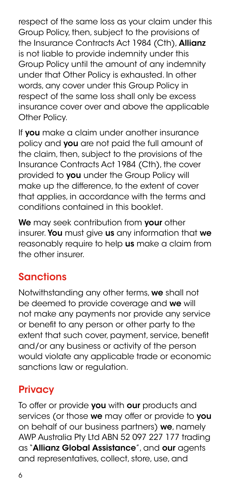respect of the same loss as your claim under this Group Policy, then, subject to the provisions of the Insurance Contracts Act 1984 (Cth), Allianz is not liable to provide indemnity under this Group Policy until the amount of any indemnity under that Other Policy is exhausted. In other words, any cover under this Group Policy in respect of the same loss shall only be excess insurance cover over and above the applicable Other Policy.

If you make a claim under another insurance policy and **you** are not paid the full amount of the claim, then, subject to the provisions of the Insurance Contracts Act 1984 (Cth), the cover provided to **vou** under the Group Policy will make up the difference, to the extent of cover that applies, in accordance with the terms and conditions contained in this booklet.

We may seek contribution from your other insurer. You must give us any information that we reasonably require to help us make a claim from the other insurer.

# **Sanctions**

Notwithstanding any other terms, we shall not be deemed to provide coverage and we will not make any payments nor provide any service or benefit to any person or other party to the extent that such cover, payment, service, benefit and/or any business or activity of the person would violate any applicable trade or economic sanctions law or regulation.

## **Privacy**

To offer or provide you with our products and services (or those we may offer or provide to you on behalf of our business partners) we, namely AWP Australia Pty Ltd ABN 52 097 227 177 trading as "Allianz Global Assistance", and our agents and representatives, collect, store, use, and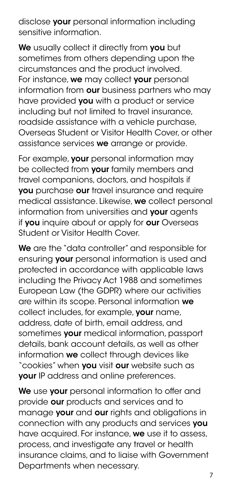disclose **your** personal information including sensitive information.

We usually collect it directly from you but sometimes from others depending upon the circumstances and the product involved. For instance, we may collect vour personal information from our business partners who may have provided **you** with a product or service including but not limited to travel insurance, roadside assistance with a vehicle purchase, Overseas Student or Visitor Health Cover or other assistance services we arrange or provide.

For example, your personal information may be collected from your family members and travel companions, doctors, and hospitals if **vou** purchase our travel insurance and require medical assistance. Likewise, we collect personal information from universities and **your** agents if vou inquire about or apply for our Overseas Student or Visitor Health Cover.

We are the "data controller" and responsible for ensuring **your** personal information is used and protected in accordance with applicable laws including the Privacy Act 1988 and sometimes European Law (the GDPR) where our activities are within its scope. Personal information we collect includes, for example, your name, address, date of birth, email address, and sometimes your medical information, passport details, bank account details, as well as other information we collect through devices like "cookies" when you visit our website such as your IP address and online preferences.

We use your personal information to offer and provide our products and services and to manage **your** and **our** rights and obligations in connection with any products and services you have acquired. For instance, we use it to assess, process, and investigate any travel or health insurance claims, and to liaise with Government Departments when necessary.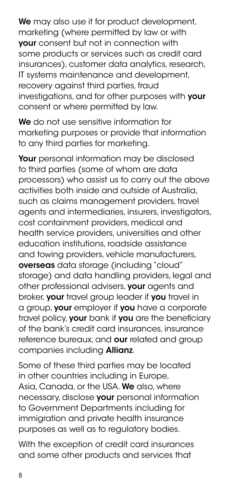We may also use it for product development. marketing (where permitted by law or with **vour** consent but not in connection with some products or services such as credit card insurances), customer data analytics, research, IT systems maintenance and development, recovery against third parties, fraud investigations, and for other purposes with your consent or where permitted by law.

We do not use sensitive information for marketing purposes or provide that information to any third parties for marketing.

Your personal information may be disclosed to third parties (some of whom are data processors) who assist us to carry out the above activities both inside and outside of Australia, such as claims management providers, travel agents and intermediaries, insurers, investigators, cost containment providers, medical and health service providers, universities and other education institutions, roadside assistance and towing providers, vehicle manufacturers, overseas data storage (including "cloud" storage) and data handling providers, legal and other professional advisers, **vour** agents and broker, your travel group leader if you travel in a group, your employer if you have a corporate travel policy, **your** bank if you are the beneficiary of the bank's credit card insurances, insurance reference bureaux, and our related and group companies including Allianz.

Some of these third parties may be located in other countries including in Europe, Asia, Canada, or the USA. We also, where necessary, disclose **your** personal information to Government Departments including for immigration and private health insurance purposes as well as to regulatory bodies.

With the exception of credit card insurances and some other products and services that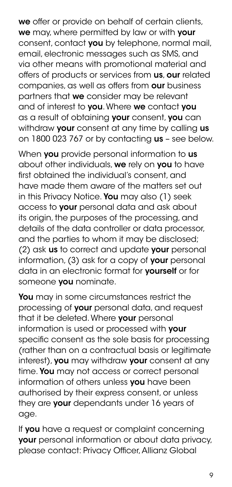we offer or provide on behalf of certain clients, we may, where permitted by law or with your consent, contact **you** by telephone, normal mail, email, electronic messages such as SMS, and via other means with promotional material and offers of products or services from us, our related companies, as well as offers from our business partners that we consider may be relevant and of interest to **vou**. Where we contact vou as a result of obtaining your consent, you can withdraw your consent at any time by calling us on 1800 023 767 or by contacting us - see below.

When you provide personal information to us about other individuals, we rely on you to have first obtained the individual's consent, and have made them aware of the matters set out in this Privacy Notice. You may also (1) seek access to **vour** personal data and ask about its origin, the purposes of the processing, and details of the data controller or data processor, and the parties to whom it may be disclosed; (2) ask us to correct and update your personal information, (3) ask for a copy of your personal data in an electronic format for **vourself** or for someone you nominate.

You may in some circumstances restrict the processing of your personal data, and request that it be deleted. Where **your** personal information is used or processed with **your** specific consent as the sole basis for processing (rather than on a contractual basis or legitimate interest), you may withdraw your consent at any time. You may not access or correct personal information of others unless **vou** have been authorised by their express consent, or unless they are your dependants under 16 years of age.

If **vou** have a request or complaint concerning your personal information or about data privacy, please contact: Privacy Officer, Allianz Global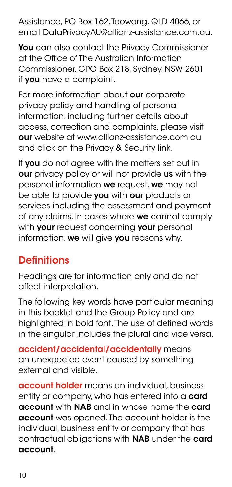Assistance, PO Box 162, Toowong, QLD 4066, or email [DataPrivacyAU@allianz-assistance.com.au](mailto:DataPrivacyAU%40allianz-assistance.com.au?subject=).

You can also contact the Privacy Commissioner at the Office of The Australian Information Commissioner, GPO Box 218, Sydney, NSW 2601 if you have a complaint.

For more information about our corporate privacy policy and handling of personal information, including further details about access, correction and complaints, please visit our website at [www.allianz-assistance.com.au](http://www.allianz-assistance.com.au)  and click on the Privacy & Security link.

If you do not agree with the matters set out in our privacy policy or will not provide us with the personal information we request, we may not be able to provide you with our products or services including the assessment and payment of any claims. In cases where we cannot comply with **vour** request concerning your personal information, we will give you reasons why.

# **Definitions**

Headings are for information only and do not affect interpretation.

The following key words have particular meaning in this booklet and the Group Policy and are highlighted in bold font. The use of defined words in the singular includes the plural and vice versa.

accident/accidental/accidentally means an unexpected event caused by something external and visible.

account holder means an individual, business entity or company, who has entered into a card account with NAB and in whose name the card account was opened. The account holder is the individual, business entity or company that has contractual obligations with **NAB** under the card account.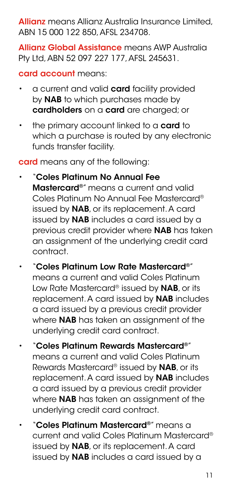Allianz means Allianz Australia Insurance Limited, ABN 15 000 122 850, AFSL 234708.

Allianz Global Assistance means AWP Australia Pty Ltd, ABN 52 097 227 177, AFSL 245631.

card account means:

- a current and valid **card** facility provided by NAB to which purchases made by cardholders on a card are charged; or
- the primary account linked to a **card** to which a purchase is routed by any electronic funds transfer facility.

card means any of the following:

- "Coles Platinum No Annual Fee Mastercard®" means a current and valid Coles Platinum No Annual Fee Mastercard® issued by **NAB**, or its replacement. A card issued by **NAB** includes a card issued by a previous credit provider where NAB has taken an assignment of the underlying credit card contract.
- "Coles Platinum Low Rate Mastercard®" means a current and valid Coles Platinum Low Rate Mastercard® issued by NAB, or its replacement. A card issued by **NAB** includes a card issued by a previous credit provider where **NAB** has taken an assianment of the underlying credit card contract.
- "Coles Platinum Rewards Mastercard®" means a current and valid Coles Platinum Rewards Mastercard® issued by **NAB**, or its replacement. A card issued by NAB includes a card issued by a previous credit provider where **NAB** has taken an assianment of the underlying credit card contract.
- *"Coles Platinum Mastercard®"* means a current and valid Coles Platinum Mastercard® issued by **NAB**, or its replacement. A card issued by NAB includes a card issued by a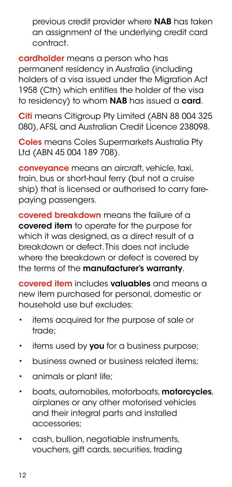previous credit provider where NAB has taken an assignment of the underlying credit card contract.

cardholder means a person who has permanent residency in Australia (including holders of a visa issued under the Migration Act 1958 (Cth) which entitles the holder of the visa to residency) to whom NAB has issued a card.

Citi means Citigroup Pty Limited (ABN 88 004 325 080), AFSL and Australian Credit Licence 238098.

Coles means Coles Supermarkets Australia Pty Ltd (ABN 45 004 189 708).

conveyance means an aircraft, vehicle, taxi, train, bus or short-haul ferry (but not a cruise ship) that is licensed or authorised to carry farepaying passengers.

covered breakdown means the failure of a covered item to operate for the purpose for which it was designed, as a direct result of a breakdown or defect. This does not include where the breakdown or defect is covered by the terms of the **manufacturer's warranty**.

covered item includes valuables and means a new item purchased for personal, domestic or household use but excludes:

- items acquired for the purpose of sale or trade;
- items used by you for a business purpose;
- business owned or business related items;
- animals or plant life;
- boats, automobiles, motorboats, motorcycles, airplanes or any other motorised vehicles and their integral parts and installed accessories;
- cash, bullion, negotiable instruments, vouchers, gift cards, securities, trading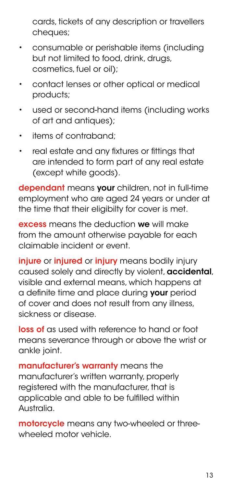cards, tickets of any description or travellers cheques;

- consumable or perishable items (including but not limited to food, drink, drugs, cosmetics, fuel or oil);
- contact lenses or other optical or medical products;
- used or second-hand items (including works of art and antiques);
- items of contraband;
- real estate and any fixtures or fittings that are intended to form part of any real estate (except white goods).

dependant means your children, not in full-time employment who are aged 24 years or under at the time that their eligibilty for cover is met.

excess means the deduction we will make from the amount otherwise payable for each claimable incident or event.

injure or *injured* or *injury* means bodily injury caused solely and directly by violent, accidental, visible and external means, which happens at a definite time and place during your period of cover and does not result from any illness, sickness or disease.

loss of as used with reference to hand or foot means severance through or above the wrist or ankle joint.

manufacturer's warranty means the manufacturer's written warranty, properly registered with the manufacturer, that is applicable and able to be fulfilled within Australia.

motorcycle means any two-wheeled or threewheeled motor vehicle.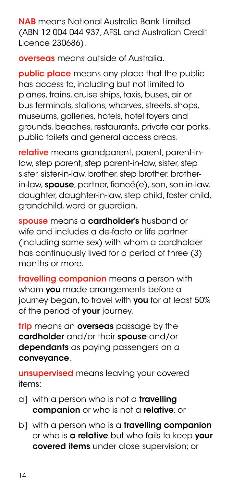NAB means National Australia Bank Limited (ABN 12 004 044 937, AFSL and Australian Credit Licence 230686).

overseas means outside of Australia.

public place means any place that the public has access to, including but not limited to planes, trains, cruise ships, taxis, buses, air or bus terminals, stations, wharves, streets, shops, museums, galleries, hotels, hotel foyers and grounds, beaches, restaurants, private car parks, public toilets and general access areas.

relative means grandparent, parent, parent-inlaw, step parent, step parent-in-law, sister, step sister, sister-in-law, brother, step brother, brotherin-law, spouse, partner, fiancé(e), son, son-in-law, daughter, daughter-in-law, step child, foster child, grandchild, ward or guardian.

spouse means a cardholder's husband or wife and includes a de-facto or life partner (including same sex) with whom a cardholder has continuously lived for a period of three (3) months or more.

travelling companion means a person with whom you made arrangements before a journey began, to travel with you for at least 50% of the period of **vour** journey.

trip means an **overseas** passage by the cardholder and/or their spouse and/or dependants as paying passengers on a conveyance.

unsupervised means leaving your covered items:

- al with a person who is not a **travellina** companion or who is not a relative; or
- b] with a person who is a **travelling companion** or who is **a relative** but who fails to keep **your** covered items under close supervision; or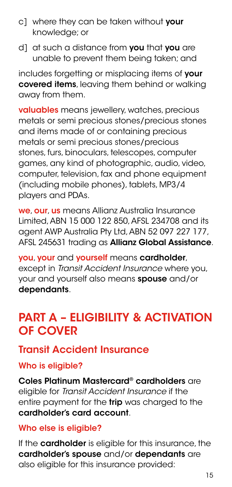- c] where they can be taken without your knowledge; or
- d] at such a distance from **you** that **you** are unable to prevent them being taken; and

includes forgetting or misplacing items of your covered items, leaving them behind or walking away from them.

valuables means jewellery, watches, precious metals or semi precious stones/precious stones and items made of or containing precious metals or semi precious stones/precious stones, furs, binoculars, telescopes, computer games, any kind of photographic, audio, video, computer, television, fax and phone equipment (including mobile phones), tablets, MP3/4 players and PDAs.

we, our, us means Allianz Australia Insurance Limited, ABN 15 000 122 850, AFSL 234708 and its agent AWP Australia Pty Ltd, ABN 52 097 227 177, AFSL 245631 trading as Allianz Global Assistance.

you, your and yourself means cardholder, except in *Transit Accident Insurance* where you, your and yourself also means **spouse** and/or dependants.

# PART A – ELIGIBILITY & ACTIVATION OF COVER

## Transit Accident Insurance

### Who is eligible?

Coles Platinum Mastercard® cardholders are eligible for *Transit Accident Insurance* if the entire payment for the **trip** was charged to the cardholder's card account.

#### Who else is eligible?

If the **cardholder** is eligible for this insurance, the cardholder's spouse and/or dependants are also eligible for this insurance provided: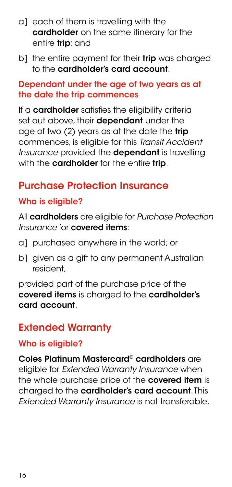- a] each of them is travelling with the cardholder on the same itinerary for the entire **trip**; and
- b] the entire payment for their trip was charged to the cardholder's card account.

#### Dependant under the age of two years as at the date the trip commences

If a cardholder satisfies the eligibility criteria set out above, their **dependant** under the age of two (2) years as at the date the trip commences, is eligible for this *Transit Accident Insurance* provided the dependant is travelling with the **cardholder** for the entire **trip**.

# Purchase Protection Insurance

#### Who is eligible?

All cardholders are eligible for *Purchase Protection Insurance* for covered items:

- a] purchased anywhere in the world; or
- b] given as a gift to any permanent Australian resident,

provided part of the purchase price of the covered items is charged to the cardholder's card account.

## Extended Warranty

#### Who is eligible?

Coles Platinum Mastercard® cardholders are eligible for *Extended Warranty Insurance* when the whole purchase price of the **covered item** is charged to the cardholder's card account. This *Extended Warranty Insurance* is not transferable.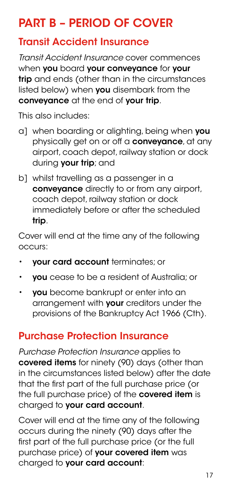# PART B – PERIOD OF COVER

### Transit Accident Insurance

*Transit Accident Insurance* cover commences when you board your convevance for your trip and ends (other than in the circumstances listed below) when you disembark from the conveyance at the end of your trip.

This also includes:

- a] when boarding or alighting, being when you physically get on or off a **convevance**, at any airport, coach depot, railway station or dock during **your trip**; and
- b] whilst travelling as a passenger in a conveyance directly to or from any airport, coach depot, railway station or dock immediately before or after the scheduled trip.

Cover will end at the time any of the following occurs:

- your card account terminates; or
- you cease to be a resident of Australia; or
- you become bankrupt or enter into an arrangement with your creditors under the provisions of the Bankruptcy Act 1966 (Cth).

## Purchase Protection Insurance

*Purchase Protection Insurance* applies to covered items for ninety (90) days (other than in the circumstances listed below) after the date that the first part of the full purchase price (or the full purchase price) of the **covered item** is charged to your card account.

Cover will end at the time any of the following occurs during the ninety (90) days after the first part of the full purchase price (or the full purchase price) of your covered item was charged to **your card account:**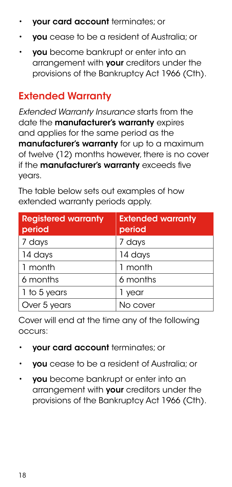- your card account terminates; or
- you cease to be a resident of Australia; or
- you become bankrupt or enter into an arrangement with **your** creditors under the provisions of the Bankruptcy Act 1966 (Cth).

# Extended Warranty

*Extended Warranty Insurance* starts from the date the **manufacturer's warranty** expires and applies for the same period as the manufacturer's warranty for up to a maximum of twelve (12) months however, there is no cover if the **manufacturer's warranty** exceeds five years.

The table below sets out examples of how extended warranty periods apply.

| <b>Registered warranty</b><br>period | <b>Extended warranty</b><br>period |
|--------------------------------------|------------------------------------|
| 7 days                               | 7 days                             |
| 14 days                              | 14 days                            |
| 1 month                              | 1 month                            |
| 6 months                             | 6 months                           |
| 1 to 5 years                         | 1 year                             |
| Over 5 years                         | No cover                           |

Cover will end at the time any of the following occurs:

- your card account terminates; or
- vou cease to be a resident of Australia; or
- you become bankrupt or enter into an arrangement with **your** creditors under the provisions of the Bankruptcy Act 1966 (Cth).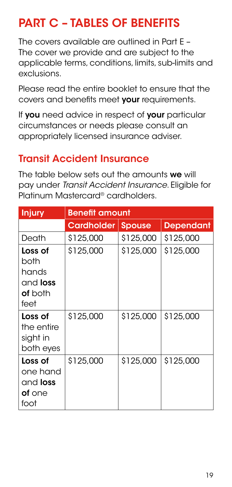# PART C – TABLES OF BENEFITS

The covers available are outlined in Part E – The cover we provide and are subject to the applicable terms, conditions, limits, sub-limits and exclusions.

Please read the entire booklet to ensure that the covers and benefits meet your requirements.

If you need advice in respect of your particular circumstances or needs please consult an appropriately licensed insurance adviser.

## Transit Accident Insurance

The table below sets out the amounts we will pay under *Transit Accident Insurance*. Eligible for Platinum Mastercard® cardholders.

| <b>Injury</b>                                                         | Benefit amount    |               |                  |
|-----------------------------------------------------------------------|-------------------|---------------|------------------|
|                                                                       | <b>Cardholder</b> | <b>Spouse</b> | <b>Dependant</b> |
| Death                                                                 | \$125,000         | \$125,000     | \$125,000        |
| Loss of<br>both<br>hands<br>and <b>loss</b><br><b>of</b> both<br>feet | \$125,000         | \$125,000     | \$125,000        |
| Loss of<br>the entire<br>sight in<br>both eyes                        | \$125,000         | \$125.000     | \$125,000        |
| Loss of<br>one hand<br>and <b>loss</b><br><b>of</b> one<br>foot       | \$125,000         | \$125,000     | \$125,000        |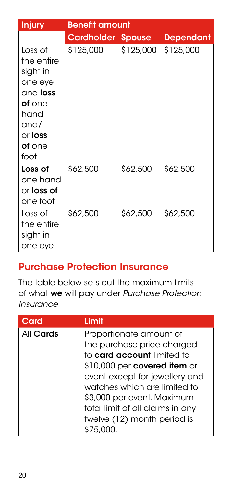| <b>Injury</b>                                                                                                                        | <b>Benefit amount</b>    |           |                  |
|--------------------------------------------------------------------------------------------------------------------------------------|--------------------------|-----------|------------------|
|                                                                                                                                      | <b>Cardholder Spouse</b> |           | <b>Dependant</b> |
| Loss of<br>the entire<br>sight in<br>one eye<br>and <b>loss</b><br>of one<br>hand<br>and/<br>or <b>loss</b><br><b>of</b> one<br>foot | \$125,000                | \$125,000 | \$125,000        |
| Loss of<br>one hand<br>or loss of<br>one foot                                                                                        | \$62,500                 | \$62,500  | \$62,500         |
| Loss of<br>the entire<br>sight in<br>one eye                                                                                         | \$62,500                 | \$62,500  | \$62,500         |

# Purchase Protection Insurance

The table below sets out the maximum limits of what we will pay under *Purchase Protection Insurance.*

| Card             | Limit                                                                                                                                                                                                                                                                                                      |
|------------------|------------------------------------------------------------------------------------------------------------------------------------------------------------------------------------------------------------------------------------------------------------------------------------------------------------|
| All <b>Cards</b> | Proportionate amount of<br>the purchase price charged<br>to <b>card account</b> limited to<br>\$10,000 per covered item or<br>event except for jewellery and<br>watches which are limited to<br>\$3,000 per event. Maximum<br>total limit of all claims in any<br>twelve (12) month period is<br>\$75.000. |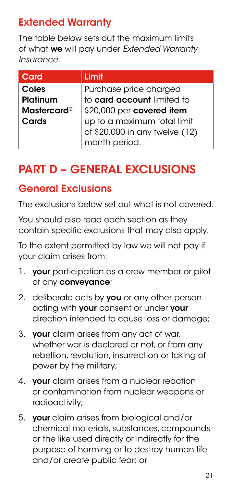# Extended Warranty

The table below sets out the maximum limits of what we will pay under *Extended Warranty Insurance*.

| Card                          | <b>Limit</b>                                                                   |
|-------------------------------|--------------------------------------------------------------------------------|
| Coles<br>Platinum             | Purchase price charged<br>to card account limited to                           |
| <b>Mastercard<sup>®</sup></b> | \$20,000 per covered item                                                      |
| Cards                         | up to a maximum total limit<br>of \$20,000 in any twelve (12)<br>month period. |

# PART D – GENERAL EXCLUSIONS

## General Exclusions

The exclusions below set out what is not covered.

You should also read each section as they contain specific exclusions that may also apply.

To the extent permitted by law we will not pay if your claim arises from:

- 1. **vour** participation as a crew member or pilot of any conveyance;
- 2. deliberate acts by you or any other person actina with your consent or under your direction intended to cause loss or damage;
- 3. your claim arises from any act of war, whether war is declared or not, or from any rebellion, revolution, insurrection or taking of power by the military;
- 4. **your** claim arises from a nuclear reaction or contamination from nuclear weapons or radioactivity;
- 5. **vour** claim arises from biological and/or chemical materials, substances, compounds or the like used directly or indirectly for the purpose of harming or to destroy human life and/or create public fear; or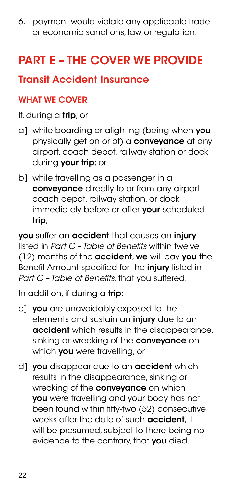6. payment would violate any applicable trade or economic sanctions, law or regulation.

# PART E – THE COVER WE PROVIDE

# Transit Accident Insurance

### WHAT WE COVER

If, during a trip; or

- a] while boarding or alighting (being when you physically get on or of) a **conveyance** at any airport, coach depot, railway station or dock during **your trip**; or
- b] while travelling as a passenger in a conveyance directly to or from any airport, coach depot, railway station, or dock immediately before or after **vour** scheduled trip,

you suffer an accident that causes an injury listed in *Part C – Table of Benefits* within twelve (12) months of the accident, we will pay you the Benefit Amount specified for the *injury* listed in *Part C – Table of Benefits*, that you suffered.

In addition, if during a trip:

- c] you are unavoidably exposed to the elements and sustain an *injury* due to an accident which results in the disappearance, sinking or wrecking of the conveyance on which you were travelling; or
- d] you disappear due to an accident which results in the disappearance, sinking or wrecking of the **conveyance** on which you were travelling and your body has not been found within fifty-two (52) consecutive weeks after the date of such **accident**, it will be presumed, subject to there being no evidence to the contrary, that you died,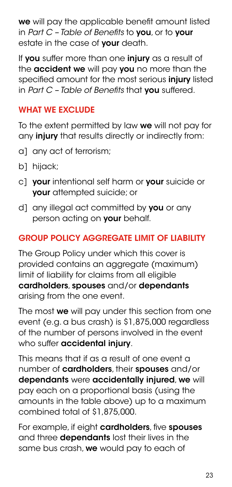we will pay the applicable benefit amount listed in *Part C – Table of Benefits* to you, or to your estate in the case of your death.

If you suffer more than one injury as a result of the accident we will pay you no more than the specified amount for the most serious *injury* listed in *Part C – Table of Benefits* that you suffered.

### WHAT WE EXCLUDE

To the extent permitted by law we will not pay for any **injury** that results directly or indirectly from:

- a] any act of terrorism;
- b] hijack;
- c] your intentional self harm or your suicide or your attempted suicide; or
- d] any illegal act committed by **you** or any person acting on your behalf.

#### GROUP POLICY AGGREGATE LIMIT OF LIABILITY

The Group Policy under which this cover is provided contains an aggregate (maximum) limit of liability for claims from all eligible cardholders, spouses and/or dependants arising from the one event.

The most we will pay under this section from one event (e.g. a bus crash) is \$1,875,000 regardless of the number of persons involved in the event who suffer **accidental injury**.

This means that if as a result of one event a number of cardholders, their spouses and/or dependants were accidentally injured, we will pay each on a proportional basis (using the amounts in the table above) up to a maximum combined total of \$1,875,000.

For example, if eight cardholders, five spouses and three **dependants** lost their lives in the same bus crash, we would pay to each of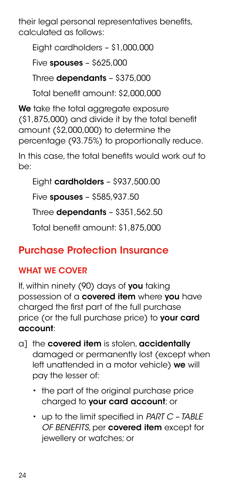their legal personal representatives benefits, calculated as follows:

Eight cardholders – \$1,000,000

Five spouses – \$625,000

Three dependants – \$375,000

Total benefit amount: \$2,000,000

We take the total aggregate exposure (\$1,875,000) and divide it by the total benefit amount (\$2,000,000) to determine the percentage (93.75%) to proportionally reduce.

In this case, the total benefits would work out to be:

Eight cardholders – \$937,500.00

Five **spouses** - \$585,937.50

Three dependants – \$351,562.50

Total benefit amount: \$1,875,000

# Purchase Protection Insurance

### WHAT WE COVER

If, within ninety (90) days of you taking possession of a **covered item** where **you** have charged the first part of the full purchase price (or the full purchase price) to your card account:

- a] the covered item is stolen, accidentally damaged or permanently lost (except when left unattended in a motor vehicle) we will pay the lesser of:
	- the part of the original purchase price charged to your card account; or
	- up to the limit specified in *PART C TABLE OF BENEFITS*, per covered item except for jewellery or watches; or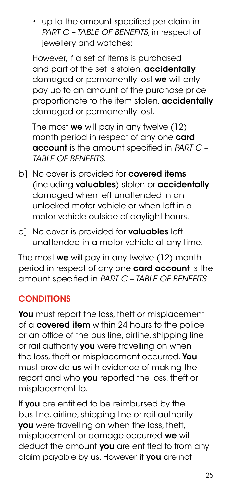• up to the amount specified per claim in *PART C – TABLE OF BENEFITS*, in respect of jewellery and watches;

 However, if a set of items is purchased and part of the set is stolen, **accidentally** damaged or permanently lost we will only pay up to an amount of the purchase price proportionate to the item stolen, **accidentally** damaged or permanently lost.

The most we will pay in any twelve (12) month period in respect of any one **card** account is the amount specified in *PART C – TABLE OF BENEFITS*.

- b] No cover is provided for **covered items** (including valuables) stolen or accidentally damaged when left unattended in an unlocked motor vehicle or when left in a motor vehicle outside of daylight hours.
- c1 No cover is provided for **valuables** left unattended in a motor vehicle at any time.

The most we will pay in any twelve (12) month period in respect of any one **card account** is the amount specified in *PART C – TABLE OF BENEFITS*.

### **CONDITIONS**

You must report the loss, theft or misplacement of a covered item within 24 hours to the police or an office of the bus line, airline, shipping line or rail authority you were travelling on when the loss, theft or misplacement occurred. You must provide us with evidence of making the report and who you reported the loss, theft or misplacement to.

If you are entitled to be reimbursed by the bus line, airline, shipping line or rail authority you were travelling on when the loss, theft, misplacement or damage occurred we will deduct the amount **you** are entitled to from any claim payable by us. However, if you are not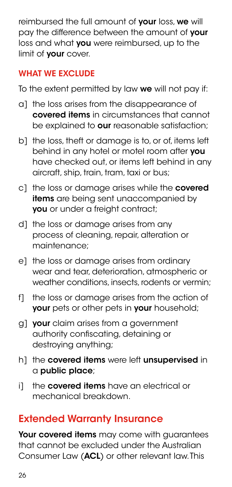reimbursed the full amount of your loss, we will pay the difference between the amount of **your** loss and what you were reimbursed, up to the limit of your cover.

### WHAT WE EXCLUDE

To the extent permitted by law we will not pay if:

- a] the loss arises from the disappearance of covered items in circumstances that cannot be explained to **our** reasonable satisfaction;
- b] the loss, theft or damage is to, or of, items left behind in any hotel or motel room after **you** have checked out, or items left behind in any aircraft, ship, train, tram, taxi or bus;
- c] the loss or damage arises while the covered items are being sent unaccompanied by you or under a freight contract;
- d] the loss or damage arises from any process of cleaning, repair, alteration or maintenance;
- e] the loss or damage arises from ordinary wear and tear, deterioration, atmospheric or weather conditions, insects, rodents or vermin;
- f] the loss or damage arises from the action of your pets or other pets in your household;
- g] your claim arises from a government authority confiscating, detaining or destroying anything;
- h] the covered items were left unsupervised in a public place;
- i] the **covered items** have an electrical or mechanical breakdown.

# Extended Warranty Insurance

Your covered items may come with guarantees that cannot be excluded under the Australian Consumer Law (ACL) or other relevant law. This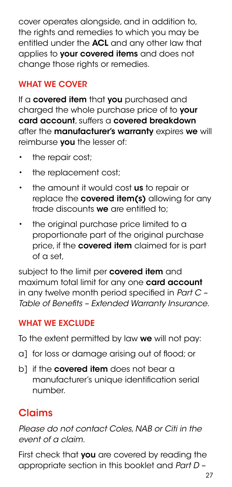cover operates alongside, and in addition to, the rights and remedies to which you may be entitled under the ACL and any other law that applies to your covered items and does not change those rights or remedies.

### WHAT WE COVER

If a covered item that you purchased and charged the whole purchase price of to your card account, suffers a covered breakdown after the **manufacturer's warranty** expires we will reimburse you the lesser of:

- the repair cost;
- the replacement cost;
- the amount it would cost us to repair or replace the **covered item(s)** allowing for any trade discounts we are entitled to;
- the original purchase price limited to a proportionate part of the original purchase price, if the **covered item** claimed for is part of a set,

subject to the limit per **covered item** and maximum total limit for any one card account in any twelve month period specified in *Part C – Table of Benefits – Extended Warranty Insurance*.

## WHAT WE EXCLUDE

To the extent permitted by law we will not pay:

- a] for loss or damage arising out of flood; or
- b] if the **covered item** does not bear a manufacturer's unique identification serial number.

# Claims

*Please do not contact Coles, NAB or Citi in the event of a claim.*

First check that you are covered by reading the appropriate section in this booklet and *Part D –*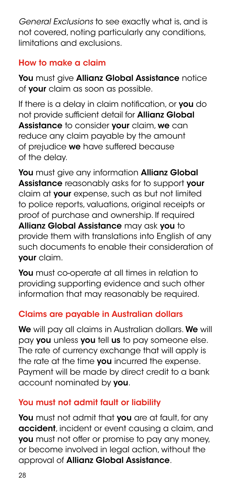*General Exclusions* to see exactly what is, and is not covered, noting particularly any conditions, limitations and exclusions.

### How to make a claim

You must give Allianz Global Assistance notice of your claim as soon as possible.

If there is a delay in claim notification, or **you** do not provide sufficient detail for **Allianz Global** Assistance to consider your claim, we can reduce any claim payable by the amount of prejudice we have suffered because of the delay.

You must give any information Allianz Global Assistance reasonably asks for to support your claim at your expense, such as but not limited to police reports, valuations, original receipts or proof of purchase and ownership. If required Allianz Global Assistance may ask you to provide them with translations into English of any such documents to enable their consideration of your claim.

You must co-operate at all times in relation to providing supporting evidence and such other information that may reasonably be required.

### Claims are payable in Australian dollars

We will pay all claims in Australian dollars. We will pay you unless you tell us to pay someone else. The rate of currency exchange that will apply is the rate at the time you incurred the expense. Payment will be made by direct credit to a bank account nominated by you.

#### You must not admit fault or liability

You must not admit that you are at fault, for any accident, incident or event causing a claim, and **vou** must not offer or promise to pay any money, or become involved in legal action, without the approval of Allianz Global Assistance.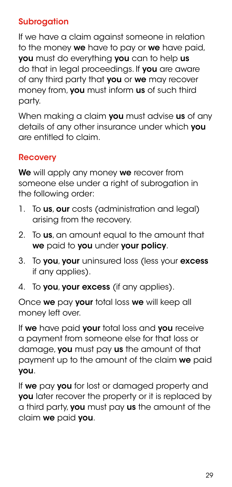### **Subrogation**

If we have a claim against someone in relation to the money we have to pay or we have paid, you must do everything you can to help us do that in legal proceedings. If you are aware of any third party that **you** or we may recover money from, you must inform us of such third party.

When making a claim you must advise us of any details of any other insurance under which you are entitled to claim.

#### **Recovery**

We will apply any money we recover from someone else under a right of subrogation in the following order:

- 1. To us, our costs (administration and legal) arising from the recovery.
- 2. To us, an amount equal to the amount that we paid to you under your policy.
- 3. To you, your uninsured loss (less your excess if any applies).
- 4. To **you**, **your excess** (if any applies).

Once we pay your total loss we will keep all money left over.

If we have paid vour total loss and vou receive a payment from someone else for that loss or damage, you must pay us the amount of that payment up to the amount of the claim we paid you.

If we pay you for lost or damaged property and you later recover the property or it is replaced by a third party, **you** must pay us the amount of the claim we paid you.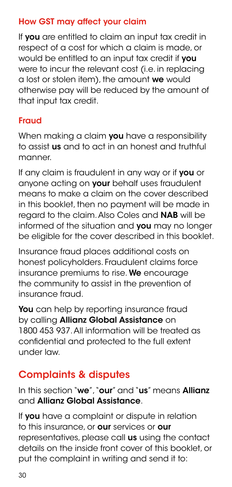#### How GST may affect your claim

If you are entitled to claim an input tax credit in respect of a cost for which a claim is made, or would be entitled to an input tax credit if **vou** were to incur the relevant cost (i.e. in replacing a lost or stolen item), the amount we would otherwise pay will be reduced by the amount of that input tax credit.

#### Fraud

When making a claim **vou** have a responsibility to assist us and to act in an honest and truthful manner.

If any claim is fraudulent in any way or if you or anyone acting on **your** behalf uses fraudulent means to make a claim on the cover described in this booklet, then no payment will be made in regard to the claim. Also Coles and NAB will be informed of the situation and you may no longer be eligible for the cover described in this booklet.

Insurance fraud places additional costs on honest policyholders. Fraudulent claims force insurance premiums to rise. We encourage the community to assist in the prevention of insurance fraud.

You can help by reporting insurance fraud by calling **Allianz Global Assistance** on 1800 453 937. All information will be treated as confidential and protected to the full extent under law.

# Complaints & disputes

In this section "we", "our" and "us" means **Allianz** and Allianz Global Assistance.

If **vou** have a complaint or dispute in relation to this insurance, or **our** services or **our** representatives, please call us using the contact details on the inside front cover of this booklet, or put the complaint in writing and send it to: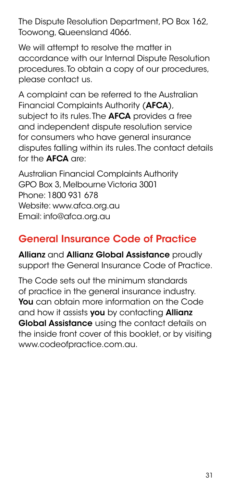The Dispute Resolution Department, PO Box 162, Toowong, Queensland 4066.

We will attempt to resolve the matter in accordance with our Internal Dispute Resolution procedures. To obtain a copy of our procedures, please contact us.

A complaint can be referred to the Australian Financial Complaints Authority (**AFCA**), subject to its rules. The **AFCA** provides a free and independent dispute resolution service for consumers who have general insurance disputes falling within its rules. The contact details for the AFCA are:

Australian Financial Complaints Authority GPO Box 3, Melbourne Victoria 3001 Phone: 1800 931 678 Website: [www.afca.org.au](http://www.afca.org.au) Email: [info@afca.org.au](mailto:info%40afca.org.au?subject=)

# General Insurance Code of Practice

Allianz and Allianz Global Assistance proudly support the General Insurance Code of Practice.

The Code sets out the minimum standards of practice in the general insurance industry. You can obtain more information on the Code and how it assists **you** by contacting **Allianz** Global Assistance using the contact details on the inside front cover of this booklet, or by visiting [www.codeofpractice.com.au.](http://www.codeofpractice.com.au)